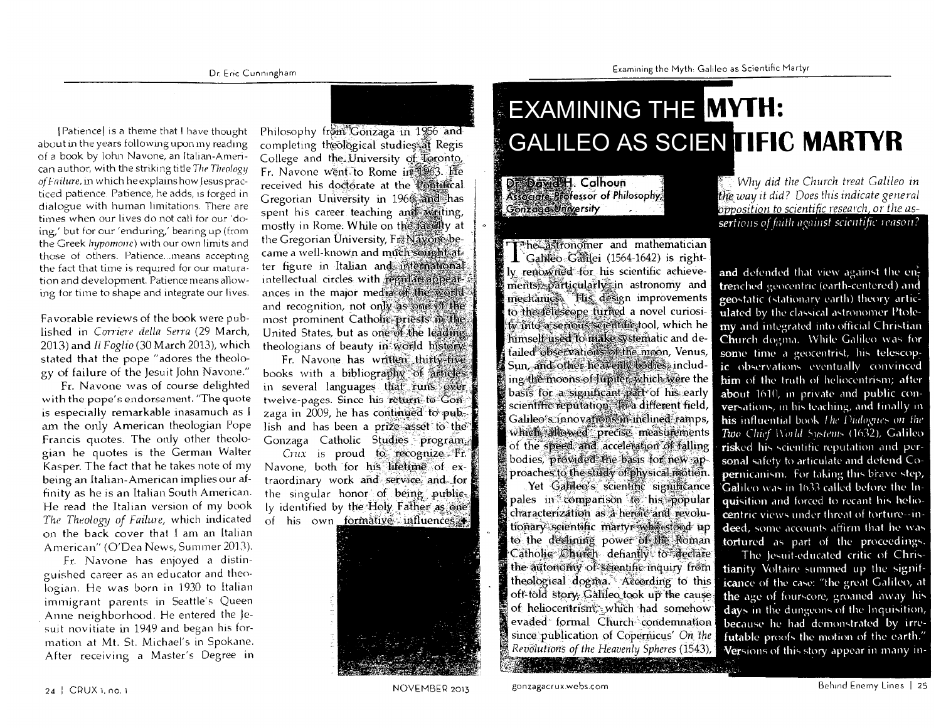## **EXAMINING THE MYTH: GALILEO AS SCIENTIFIC MARTYR**

Dr. Dowid H. Calhoun Associate Professor of Philosophy, Gonzage University

The astronomer and mathematician Galileo Galilei (1564-1642) is rightly renowned for his scientific achievements) particularly in astronomy and mechanics. His design improvements to the telescope furned a novel curiositwinto a serious scientific tool, which he himself used to make systematic and detailed observations of the moon, Venus, Sun, and other heavenly bodies, including the moons of Jupiter, which were the basis for a significant part of his early scientific reputation. In a different field, Galileo's innovations in inclined ramps, which allowed precise measurements of the speed and acceleration of falling bodies, provided the basis for new approaches to the study of physical motion.

Yet Galileo's scientific significance pales in comparison to his popular characterization as a heroic and revolutionary scientific martyr who stood up to the declining power of the Roman Catholic Church defiantly to declare the autonomy of scientific inquiry from theological dogma. According to this oft-told story, Galileo took up the cause of heliocentrism, which had somehow evaded formal Church condemnation since publication of Copernicus' On the Revolutions of the Heavenly Spheres (1543),

 $\bar{\mathbb{Z}}$  Why did the Church treat Galileo in the way it did? Does this indicate general opposition to scientific research, or the assertions of faith against scientific reason?

and defended that view against the entrenched geocentric (earth-centered) and geostatic (stationary earth) theory articulated by the classical astronomer Ptolemy and integrated into official Christian Church dogma. While Galileo was for some time a geocentrist, his telescopic observations eventually convinced him of the truth of heliocentrism; after about 1610, in private and public conversations, in his teaching, and finally in his influential book The Dialogues on the Two Chief World Systems (1632), Galileo risked his scientific reputation and personal safety to articulate and defend Co**per**nicanism. For taking this brave step, Galileo was in 1633 called before the Inquisition and forced to recant his heliocentric views under threat of torture--indeed, some accounts affirm that he was tortured as part of the proceedings.

The Jesuit-educated critic of Christianity Voltaire summed up the significance of the case: "the great Galileo, at the age of fourscore, groaned away his days in the dungeons of the Inquisition, because he had demonstrated by irrefutable proofs the motion of the earth." Versions of this story appear in many in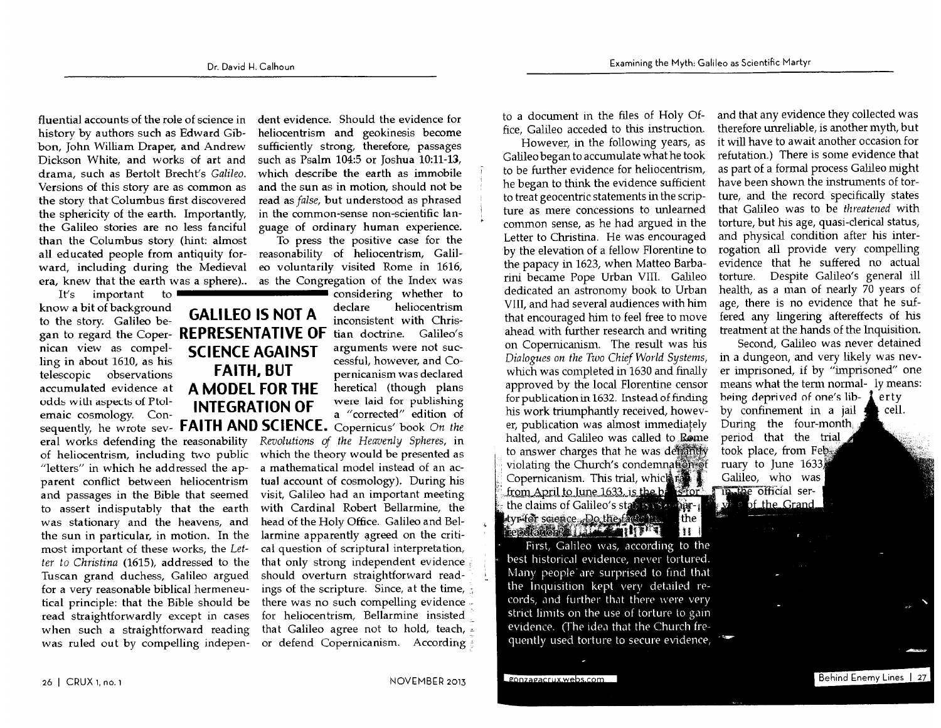fluential accounts of the role of science in history by authors such as Edward Gibbon, John William Draper, and Andrew Dickson White, and works of art and drama, such as Bertolt Brecht's Galileo. Versions of this story are as common as the story that Columbus first discovered the sphericity of the earth. Importantly, the Galileo stories are no less fanciful than the Columbus story (hint: almost all educated people from antiquity forward, including during the Medieval era, knew that the earth was a sphere)..

important to  $It's$ know a bit of background to the story. Galileo began to regard the Coper- REPRESENTATIVE OF nican view as compelling in about 1610, as his telescopic observations accumulated evidence at odds with aspects of Ptolemaic cosmology. Con-

eral works defending the reasonability of heliocentrism, including two public "letters" in which he addressed the apparent conflict between heliocentrism and passages in the Bible that seemed to assert indisputably that the earth was stationary and the heavens, and the sun in particular, in motion. In the most important of these works, the Letter to Christina (1615), addressed to the Tuscan grand duchess, Galileo argued for a very reasonable biblical hermeneutical principle: that the Bible should be read straightforwardly except in cases when such a straightforward reading was ruled out by compelling indepen-

dent evidence. Should the evidence for heliocentrism and geokinesis become sufficiently strong, therefore, passages such as Psalm 104:5 or Joshua 10:11-13, which describe the earth as immobile and the sun as in motion, should not be read as false, but understood as phrased in the common-sense non-scientific language of ordinary human experience.

To press the positive case for the reasonability of heliocentrism, Galileo voluntarily visited Rome in 1616, as the Congregation of the Index was

considering whether to declare heliocentrism **GALILEO IS NOT A** inconsistent with Christian doctrine. Galileo's arguments were not suc-**SCIENCE AGAINST** cessful, however, and Co-**FAITH, BUT** pernicanism was declared A MODEL FOR THE heretical (though plans were laid for publishing **INTEGRATION OF** 

a "corrected" edition of sequently, he wrote sev- FAITH AND SCIENCE. Copernicus' book On the Revolutions of the Heavenly Spheres, in which the theory would be presented as a mathematical model instead of an actual account of cosmology). During his visit, Galileo had an important meeting with Cardinal Robert Bellarmine, the head of the Holy Office. Galileo and Bellarmine apparently agreed on the critical question of scriptural interpretation, that only strong independent evidence should overturn straightforward readings of the scripture. Since, at the time, there was no such compelling evidence for heliocentrism, Bellarmine insisted that Galileo agree not to hold, teach,  $\pm$ or defend Copernicanism. According

to a document in the files of Holy Office, Galileo acceded to this instruction.

However, in the following years, as Galileo began to accumulate what he took to be further evidence for heliocentrism, he began to think the evidence sufficient to treat geocentric statements in the scripture as mere concessions to unlearned common sense, as he had argued in the Letter to Christina. He was encouraged by the elevation of a fellow Florentine to the papacy in 1623, when Matteo Barbarini became Pope Urban VIII. Galileo dedicated an astronomy book to Urban VIII, and had several audiences with him that encouraged him to feel free to move ahead with further research and writing on Copernicanism. The result was his Dialogues on the Two Chief World Systems, which was completed in 1630 and finally approved by the local Florentine censor for publication in 1632. Instead of finding his work triumphantly received, however, publication was almost immediately halted, and Galileo was called to Rome to answer charges that he was determiny violating the Church's condemnation of Copernicanism. This trial, which the from April to June 1633, is the best of The the official serthe claims of Galileo's status is a mardyr for science. Do the fact all | the  $\mathbf{H}$ 

First, Galileo was, according to the best historical evidence, never tortured. Many people are surprised to find that the Inquisition kept very detailed records, and further that there were very strict limits on the use of torture to gain evidence. (The idea that the Church frequently used torture to secure evidence, i

and that any evidence they collected was therefore unreliable, is another myth, but it will have to await another occasion for refutation.) There is some evidence that as part of a formal process Galileo might have been shown the instruments of torture, and the record specifically states that Galileo was to be threatened with torture, but his age, quasi-clerical status, and physical condition after his interrogation all provide very compelling evidence that he suffered no actual torture. Despite Galileo's general ill health, as a man of nearly 70 years of age, there is no evidence that he suffered any lingering aftereffects of his treatment at the hands of the Inquisition.

Second, Galileo was never detained in a dungeon, and very likely was never imprisoned, if by "imprisoned" one means what the term normal- ly means: being deprived of one's lib- $\lambda$ erty by confinement in a jail cell. During the four-month period that the trial took place, from Feb. ruary to June 1633) Galileo, who was of the Grand

Behind Enemy Lines | 27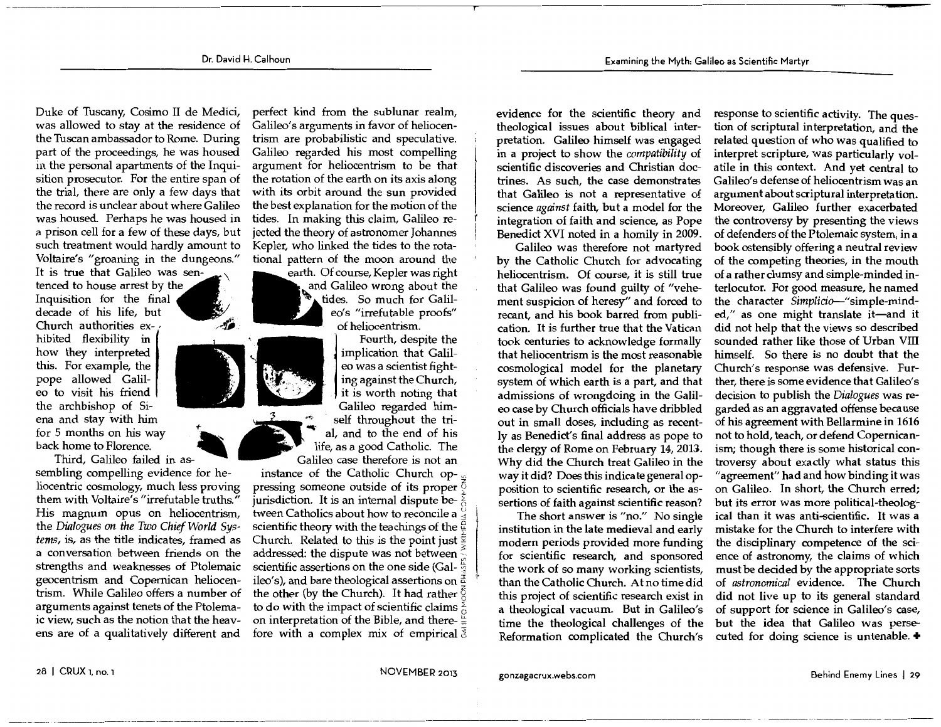Duke of Tuscany, Cosima II de Medici, was allowed to stay at the residence of the Tuscan ambassador to Rome. During part of the proceedings, he was housed in the personal apartments of the Inquisition prosecutor. For the entire span of the trial, there are only a few days that the record is unclear about where Galileo was housed. Perhaps he was housed in a prison cell for a few of these days, but such treatment would hardly amount to Voltaire's "groaning in the dungeons."

It is true that Galileo was sentenced to house arrest by the Inquisition for the final decade of his life, but Church authorities ex- , hibited flexibility in how they interpreted this. For example, the pope allowed Galileo to visit his friend the archbishop of Siena and stay with him for 5 months on his way back home to Florence. Third, Galileo failed in as-

sembling compelling evidence for heliocentric cosmology, much less proving them with Voltaire's "irrefutable truths." His magnum opus on heliocentrism, the *Dialogues on the Two Chief World Systems,* is, as the title indicates, framed as a conversation between friends on the strengths and weaknesses of Ptolemaic geocentrism and Copernican heliocentrism. While Galileo offers a number of arguments against tenets of the Ptolemaic view, such as the notion that the heavens are of a qualitatively different and

perfect kind from the sublunar realm, Galileo's arguments in favor of heliocentrism are probabilistic and speculative. Galileo regarded his most compelling argument for heliocentrism to be that the rotation of the earth on its axis along with its orbit around the sun provided the best explanation for the motion of the tides. In making this claim, Galileo rejected the theory of astronomer Johannes Kepler, who linked the tides to the rotational pattern of the moon around the

earth. Of course, Kepler was right and Galileo wrong about the tides. So much for Galileo's "irrefutable proofs" of heliocentrism.

Fourth, despite the implication that Galileo was a scientist fighting against the Church, it is worth noting that Galileo regarded himself throughout the trial, and to the end of his life, as a good Catholic. The Galileo case therefore is not an

instance of the Catholic Church op- $\sqrt{ }$ pressing someone outside of its proper  $\bar{Q}$ jurisdiction. It is an internal dispute between Catholics about how to reconcile a scientific theory with the teachings of the  $\frac{6}{9}$ Church. Related to this is the point just  $\frac{3}{5}$ addressed: the dispute was not between scientific assertions on the one side (Gal- $\frac{6}{9}$ ) ileo's), and bare theological assertions on the other (by the Church). It had rather  $\zeta$ to do with the impact of scientific claims  $\frac{3}{6}$ on interpretation of the Bible, and there- $\frac{a}{b}$ fore with a complex mix of empirical  $\overline{3}$  evidence for the scientific theory and theological issues about biblical interpretation. Galileo himself was engaged in a project to show the *compatibility* of scientific discoveries and Christian doctrines. As such, the case demonstrates that Galileo is not a representative of science *against* faith, but a model for the integration of faith and science, as Pope Benedict XVI noted in a homily in 2009.

Galileo was therefore not martyred by the Catholic Church for advocating heliocentrism. Of course, it is still true that Galileo was found guilty of "vehement suspicion of heresy" and forced to recant, and his book barred from publication. It is further true that the Vatican took centuries to acknowledge formally that heliocentrism is the most reasonable cosmological model for the planetary system of which earth is a part, and that admissions of wrongdoing in the Galileo case by Church officials have dribbled out in small doses, including as recently as Benedict's final address as pope to the clergy of Rome on February 14, 2013. Why did the Church treat Galileo in the way it did? Does this indicate general opposition to scientific research, or the assertions of faith against scientific reason?

The short answer is "no." No single institution in the late medieval and early modern periods provided more funding for scientific research, and sponsored the work of so many working scientists, than the Catholic Church. At no time did this project of scientific research exist in a theological vacuum. But in Galileo's time the theological challenges of the Reformation complicated the Church's

response to scientific activity. The question of scriptural interpretation, and the related question of who was qualified to interpret scripture, was particularly volatile in this context. And yet central to Galileo's defense of heliocentrism was an argument about scriptural interpretation. Moreover, Galileo further exacerbated the controversy by presenting the views of defenders of the Ptolemaic system, in a book ostensibly offering a neutral review of the competing theories, in the mouth of a rather clumsy and simple-minded interlocutor. For good measure, he named the character *Simplicio-''simple-mind*ed," as one might translate it-and it did not help that the views so described sounded rather like those of Urban Vill himself. So there is no doubt that the Church's response was defensive. Further, there is some evidence that Galileo's decision to publish the *Dialogues* was regarded as an aggravated offense because of his agreement with Bellarmine in 1616 not to hold, teach, or defend Copernicanism; though there is some historical controversy about exactly what status this "agreement'' had and how binding it was on Galileo. In short, the Church erred; but its error was more political-theological than it was anti-scientific. It was a mistake for the Church to interfere with the disciplinary competence of the science of astronomy, the claims of which must be decided by the appropriate sorts of *astronomical* evidence. The Church did not live up to its general standard of support for science in Galileo's case, but the idea that Galileo was persecuted for doing science is untenable. +

NOVEMBER 2013